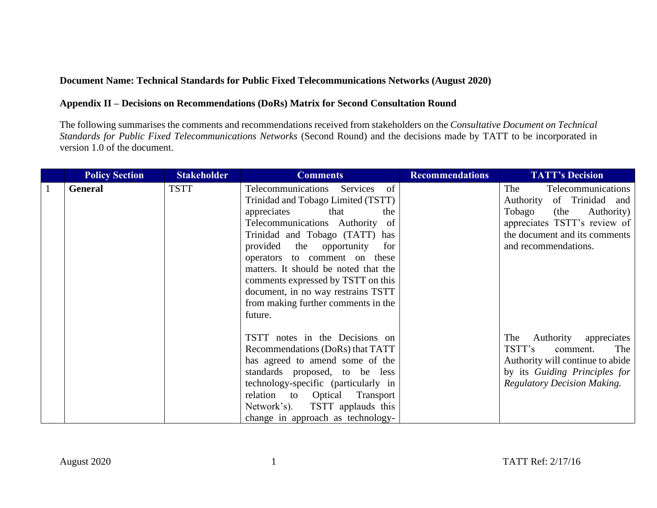## **Document Name: Technical Standards for Public Fixed Telecommunications Networks (August 2020)**

## **Appendix II – Decisions on Recommendations (DoRs) Matrix for Second Consultation Round**

The following summarises the comments and recommendations received from stakeholders on the *Consultative Document on Technical Standards for Public Fixed Telecommunications Networks* (Second Round) and the decisions made by TATT to be incorporated in version 1.0 of the document.

|              | <b>Policy Section</b> | <b>Stakeholder</b> | <b>Comments</b>                                                                                                                                                                                                                                                                                                                                                                                                                    | <b>Recommendations</b> | <b>TATT's Decision</b>                                                                                                                                                          |
|--------------|-----------------------|--------------------|------------------------------------------------------------------------------------------------------------------------------------------------------------------------------------------------------------------------------------------------------------------------------------------------------------------------------------------------------------------------------------------------------------------------------------|------------------------|---------------------------------------------------------------------------------------------------------------------------------------------------------------------------------|
| $\mathbf{1}$ | <b>General</b>        | <b>TSTT</b>        | Telecommunications<br><sub>of</sub><br>Services<br>Trinidad and Tobago Limited (TSTT)<br>appreciates<br>that<br>the<br>Telecommunications Authority of<br>Trinidad and Tobago (TATT) has<br>provided the opportunity<br>for<br>operators to comment on these<br>matters. It should be noted that the<br>comments expressed by TSTT on this<br>document, in no way restrains TSTT<br>from making further comments in the<br>future. |                        | The<br>Telecommunications<br>Authority of Trinidad and<br>Tobago<br>Authority)<br>(the<br>appreciates TSTT's review of<br>the document and its comments<br>and recommendations. |
|              |                       |                    | TSTT notes in the Decisions on<br>Recommendations (DoRs) that TATT<br>has agreed to amend some of the<br>standards proposed, to be less<br>technology-specific (particularly in<br>to Optical<br>relation<br>Transport<br>Network's). TSTT applauds this<br>change in approach as technology-                                                                                                                                      |                        | Authority<br>appreciates<br>The<br>TSTT's<br>The<br>comment.<br>Authority will continue to abide<br>by its Guiding Principles for<br><b>Regulatory Decision Making.</b>         |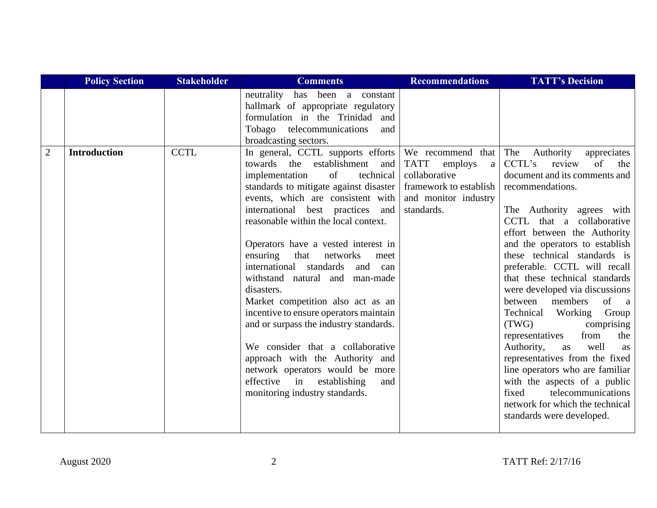|                | <b>Policy Section</b> | <b>Stakeholder</b> | <b>Comments</b>                                                                                                                                                                                                                                                                                                                                                                                                                                                                                                                                                                                                                                                                                                                                            | <b>Recommendations</b>                                                                                                            | <b>TATT's Decision</b>                                                                                                                                                                                                                                                                                                                                                                                                                                                                                                                                                                                                                                                                                                                                                |
|----------------|-----------------------|--------------------|------------------------------------------------------------------------------------------------------------------------------------------------------------------------------------------------------------------------------------------------------------------------------------------------------------------------------------------------------------------------------------------------------------------------------------------------------------------------------------------------------------------------------------------------------------------------------------------------------------------------------------------------------------------------------------------------------------------------------------------------------------|-----------------------------------------------------------------------------------------------------------------------------------|-----------------------------------------------------------------------------------------------------------------------------------------------------------------------------------------------------------------------------------------------------------------------------------------------------------------------------------------------------------------------------------------------------------------------------------------------------------------------------------------------------------------------------------------------------------------------------------------------------------------------------------------------------------------------------------------------------------------------------------------------------------------------|
|                |                       |                    | has been a constant<br>neutrality<br>hallmark of appropriate regulatory<br>formulation in the Trinidad and<br>Tobago telecommunications<br>and<br>broadcasting sectors.                                                                                                                                                                                                                                                                                                                                                                                                                                                                                                                                                                                    |                                                                                                                                   |                                                                                                                                                                                                                                                                                                                                                                                                                                                                                                                                                                                                                                                                                                                                                                       |
| $\overline{2}$ | <b>Introduction</b>   | <b>CCTL</b>        | In general, CCTL supports efforts<br>towards the establishment<br>and  <br>of<br>technical<br>implementation<br>standards to mitigate against disaster  <br>events, which are consistent with<br>international best practices and<br>reasonable within the local context.<br>Operators have a vested interest in<br>that<br>ensuring<br>networks<br>meet<br>international standards and can<br>withstand natural and man-made<br>disasters.<br>Market competition also act as an<br>incentive to ensure operators maintain<br>and or surpass the industry standards.<br>We consider that a collaborative<br>approach with the Authority and<br>network operators would be more<br>effective<br>in<br>establishing<br>and<br>monitoring industry standards. | We recommend that<br><b>TATT</b><br>employs<br>a<br>collaborative<br>framework to establish<br>and monitor industry<br>standards. | The<br>Authority<br>appreciates<br>CCTL's<br>of<br>review<br>the<br>document and its comments and<br>recommendations.<br>The Authority agrees with<br>CCTL that a collaborative<br>effort between the Authority<br>and the operators to establish<br>these technical standards is<br>preferable. CCTL will recall<br>that these technical standards<br>were developed via discussions<br>of<br>between<br>members<br><sub>a</sub><br>Technical<br>Working Group<br>(TWG)<br>comprising<br>representatives<br>from<br>the<br>Authority,<br>well<br>as<br><b>as</b><br>representatives from the fixed<br>line operators who are familiar<br>with the aspects of a public<br>telecommunications<br>fixed<br>network for which the technical<br>standards were developed. |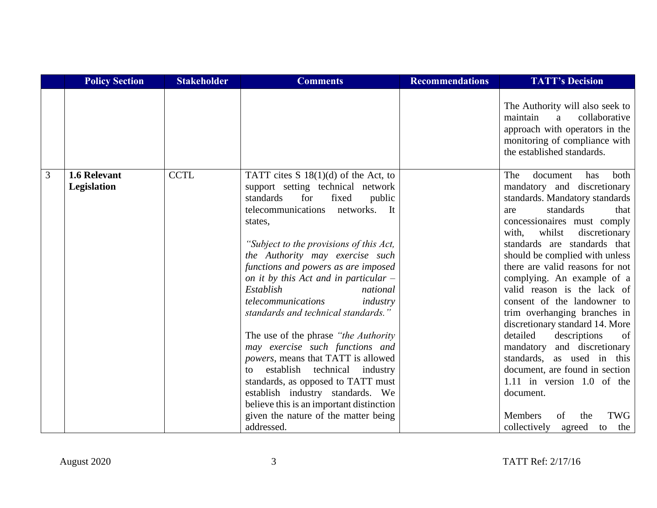|                | <b>Policy Section</b>       | <b>Stakeholder</b> | <b>Comments</b>                                                                                                                                                                                                                                                                                                                                                                                                                                                                                                                                                                                                                                                                                                                                                                            | <b>Recommendations</b> | <b>TATT's Decision</b>                                                                                                                                                                                                                                                                                                                                                                                                                                                                                                                                                                                                                                                                                                                       |
|----------------|-----------------------------|--------------------|--------------------------------------------------------------------------------------------------------------------------------------------------------------------------------------------------------------------------------------------------------------------------------------------------------------------------------------------------------------------------------------------------------------------------------------------------------------------------------------------------------------------------------------------------------------------------------------------------------------------------------------------------------------------------------------------------------------------------------------------------------------------------------------------|------------------------|----------------------------------------------------------------------------------------------------------------------------------------------------------------------------------------------------------------------------------------------------------------------------------------------------------------------------------------------------------------------------------------------------------------------------------------------------------------------------------------------------------------------------------------------------------------------------------------------------------------------------------------------------------------------------------------------------------------------------------------------|
|                |                             |                    |                                                                                                                                                                                                                                                                                                                                                                                                                                                                                                                                                                                                                                                                                                                                                                                            |                        | The Authority will also seek to<br>maintain<br>collaborative<br>a<br>approach with operators in the<br>monitoring of compliance with<br>the established standards.                                                                                                                                                                                                                                                                                                                                                                                                                                                                                                                                                                           |
| $\overline{3}$ | 1.6 Relevant<br>Legislation | <b>CCTL</b>        | TATT cites $S \ 18(1)(d)$ of the Act, to<br>support setting technical network<br>standards<br>for<br>fixed<br>public<br>telecommunications<br>networks.<br>It<br>states,<br>"Subject to the provisions of this Act,<br>the Authority may exercise such<br>functions and powers as are imposed<br>on it by this Act and in particular –<br>Establish<br>national<br>telecommunications<br>industry<br>standards and technical standards."<br>The use of the phrase "the Authority"<br>may exercise such functions and<br><i>powers</i> , means that TATT is allowed<br>establish<br>technical<br>industry<br>to<br>standards, as opposed to TATT must<br>establish industry standards. We<br>believe this is an important distinction<br>given the nature of the matter being<br>addressed. |                        | The<br><b>both</b><br>document<br>has<br>mandatory and discretionary<br>standards. Mandatory standards<br>standards<br>that<br>are<br>concessionaires must comply<br>with,<br>whilst<br>discretionary<br>standards are standards that<br>should be complied with unless<br>there are valid reasons for not<br>complying. An example of a<br>valid reason is the lack of<br>consent of the landowner to<br>trim overhanging branches in<br>discretionary standard 14. More<br>detailed<br>descriptions<br>of<br>and discretionary<br>mandatory<br>standards, as used in this<br>document, are found in section<br>1.11 in version 1.0 of the<br>document.<br><b>TWG</b><br><b>Members</b><br>of<br>the<br>collectively<br>the<br>agreed<br>to |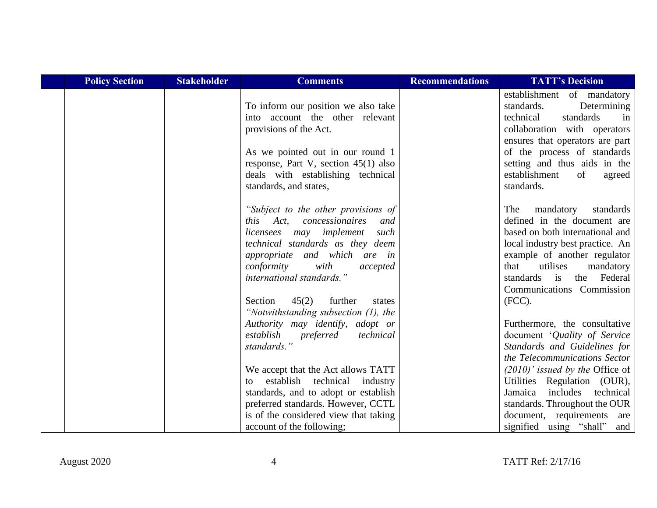| <b>Policy Section</b> | <b>Stakeholder</b> | <b>Comments</b>                                                                                                                                                                                                                                  | <b>Recommendations</b> | <b>TATT's Decision</b>                                                                                                                                                                                                                                                 |
|-----------------------|--------------------|--------------------------------------------------------------------------------------------------------------------------------------------------------------------------------------------------------------------------------------------------|------------------------|------------------------------------------------------------------------------------------------------------------------------------------------------------------------------------------------------------------------------------------------------------------------|
|                       |                    | To inform our position we also take<br>into account the other relevant<br>provisions of the Act.                                                                                                                                                 |                        | establishment of mandatory<br>standards.<br>Determining<br>technical<br>standards<br>in<br>collaboration with operators                                                                                                                                                |
|                       |                    | As we pointed out in our round 1<br>response, Part V, section $45(1)$ also<br>deals with establishing technical<br>standards, and states,                                                                                                        |                        | ensures that operators are part<br>of the process of standards<br>setting and thus aids in the<br>establishment<br>of<br>agreed<br>standards.                                                                                                                          |
|                       |                    | "Subject to the other provisions of<br>this Act, concessionaires<br>and<br>may implement<br>such<br>licensees<br>technical standards as they deem<br>appropriate and which are in<br>with<br>conformity<br>accepted<br>international standards." |                        | mandatory<br>The<br>standards<br>defined in the document are<br>based on both international and<br>local industry best practice. An<br>example of another regulator<br>utilises<br>that<br>mandatory<br>standards<br>the<br>Federal<br>is<br>Communications Commission |
|                       |                    | 45(2)<br>further<br>Section<br>states<br>"Notwithstanding subsection $(1)$ , the                                                                                                                                                                 |                        | $(FCC)$ .                                                                                                                                                                                                                                                              |
|                       |                    | Authority may identify, adopt or<br>establish<br>preferred<br>technical<br>standards."                                                                                                                                                           |                        | Furthermore, the consultative<br>document 'Quality of Service<br>Standards and Guidelines for<br>the Telecommunications Sector                                                                                                                                         |
|                       |                    | We accept that the Act allows TATT<br>establish technical industry<br>to<br>standards, and to adopt or establish                                                                                                                                 |                        | $(2010)'$ issued by the Office of<br>Utilities Regulation (OUR),<br>includes<br>technical<br>Jamaica                                                                                                                                                                   |
|                       |                    | preferred standards. However, CCTL<br>is of the considered view that taking<br>account of the following;                                                                                                                                         |                        | standards. Throughout the OUR<br>document, requirements<br>are<br>signified using "shall"<br>and                                                                                                                                                                       |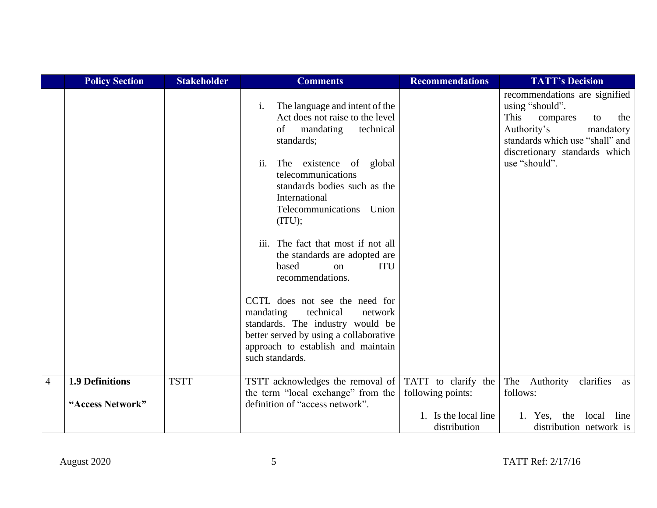|                | <b>Policy Section</b>  | <b>Stakeholder</b> | <b>Comments</b>                                                                                                                                                                                                                                                                                                                                                                                                                                                                                                                                                                                                              | <b>Recommendations</b>                   | <b>TATT's Decision</b>                                                                                                                                                                             |
|----------------|------------------------|--------------------|------------------------------------------------------------------------------------------------------------------------------------------------------------------------------------------------------------------------------------------------------------------------------------------------------------------------------------------------------------------------------------------------------------------------------------------------------------------------------------------------------------------------------------------------------------------------------------------------------------------------------|------------------------------------------|----------------------------------------------------------------------------------------------------------------------------------------------------------------------------------------------------|
|                |                        |                    | The language and intent of the<br>$\mathbf{i}$ .<br>Act does not raise to the level<br>mandating<br>technical<br>of<br>standards;<br>ii.<br>The existence of global<br>telecommunications<br>standards bodies such as the<br>International<br>Telecommunications Union<br>(ITU);<br>iii. The fact that most if not all<br>the standards are adopted are<br>based<br><b>ITU</b><br>$\alpha$<br>recommendations.<br>CCTL does not see the need for<br>mandating<br>technical<br>network<br>standards. The industry would be<br>better served by using a collaborative<br>approach to establish and maintain<br>such standards. |                                          | recommendations are signified<br>using "should".<br>This<br>compares<br>the<br>to<br>Authority's<br>mandatory<br>standards which use "shall" and<br>discretionary standards which<br>use "should". |
| $\overline{4}$ | <b>1.9 Definitions</b> | <b>TSTT</b>        | TSTT acknowledges the removal of<br>the term "local exchange" from the                                                                                                                                                                                                                                                                                                                                                                                                                                                                                                                                                       | TATT to clarify the<br>following points: | clarifies<br>The Authority<br>as<br>follows:                                                                                                                                                       |
|                | "Access Network"       |                    | definition of "access network".                                                                                                                                                                                                                                                                                                                                                                                                                                                                                                                                                                                              |                                          |                                                                                                                                                                                                    |
|                |                        |                    |                                                                                                                                                                                                                                                                                                                                                                                                                                                                                                                                                                                                                              | 1. Is the local line<br>distribution     | local<br>line<br>the<br>Yes.<br>distribution network is                                                                                                                                            |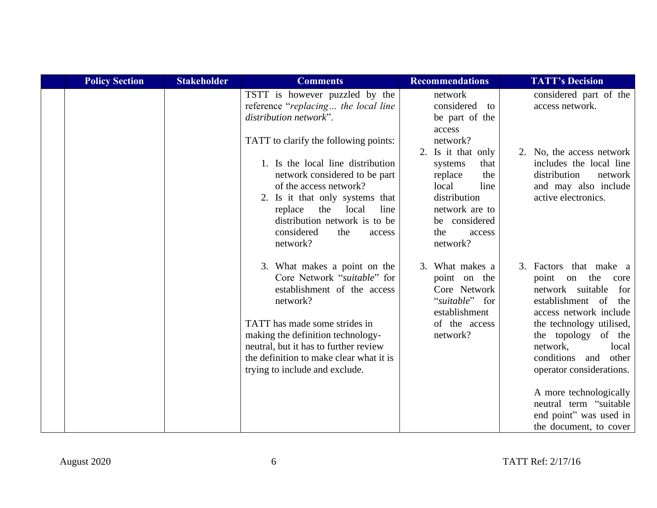| <b>Policy Section</b> | <b>Stakeholder</b> | <b>Comments</b>                                                                                                                                                                                                                                                                                    | <b>Recommendations</b>                                                                                                                                               | <b>TATT's Decision</b>                                                                                                                                                                                                                                     |
|-----------------------|--------------------|----------------------------------------------------------------------------------------------------------------------------------------------------------------------------------------------------------------------------------------------------------------------------------------------------|----------------------------------------------------------------------------------------------------------------------------------------------------------------------|------------------------------------------------------------------------------------------------------------------------------------------------------------------------------------------------------------------------------------------------------------|
|                       |                    | TSTT is however puzzled by the<br>reference "replacing the local line<br>distribution network".                                                                                                                                                                                                    | network<br>considered<br>to<br>be part of the<br>access                                                                                                              | considered part of the<br>access network.                                                                                                                                                                                                                  |
|                       |                    | TATT to clarify the following points:<br>1. Is the local line distribution<br>network considered to be part<br>of the access network?<br>2. Is it that only systems that<br>the<br>line<br>local<br>replace<br>distribution network is to be<br>considered<br>the<br>access<br>network?            | network?<br>2. Is it that only<br>that<br>systems<br>the<br>replace<br>local<br>line<br>distribution<br>network are to<br>be considered<br>the<br>access<br>network? | 2. No, the access network<br>includes the local line<br>distribution<br>network<br>and may also include<br>active electronics.                                                                                                                             |
|                       |                    | 3. What makes a point on the<br>Core Network "suitable" for<br>establishment of the access<br>network?<br>TATT has made some strides in<br>making the definition technology-<br>neutral, but it has to further review<br>the definition to make clear what it is<br>trying to include and exclude. | 3. What makes a<br>point on the<br>Core Network<br>"suitable" for<br>establishment<br>of the access<br>network?                                                      | 3. Factors that make a<br>point on the<br>core<br>network suitable<br>for<br>establishment of<br>the<br>access network include<br>the technology utilised,<br>the topology of the<br>network,<br>local<br>conditions and other<br>operator considerations. |
|                       |                    |                                                                                                                                                                                                                                                                                                    |                                                                                                                                                                      | A more technologically<br>neutral term "suitable<br>end point" was used in<br>the document, to cover                                                                                                                                                       |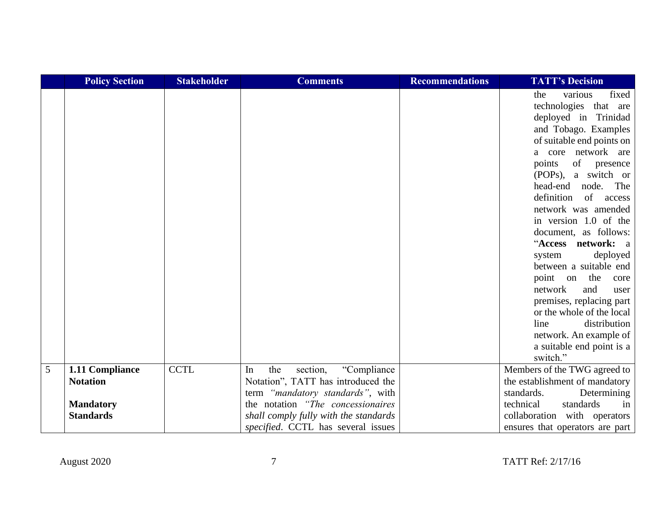|   | <b>Policy Section</b> | <b>Stakeholder</b> | <b>Comments</b>                       | <b>Recommendations</b> | <b>TATT's Decision</b>                 |
|---|-----------------------|--------------------|---------------------------------------|------------------------|----------------------------------------|
|   |                       |                    |                                       |                        | fixed<br>various<br>the                |
|   |                       |                    |                                       |                        | technologies that are                  |
|   |                       |                    |                                       |                        | deployed in Trinidad                   |
|   |                       |                    |                                       |                        | and Tobago. Examples                   |
|   |                       |                    |                                       |                        | of suitable end points on              |
|   |                       |                    |                                       |                        | a core network are                     |
|   |                       |                    |                                       |                        | points<br>of<br>presence               |
|   |                       |                    |                                       |                        | (POPs), a switch or                    |
|   |                       |                    |                                       |                        | head-end<br>node.<br>The               |
|   |                       |                    |                                       |                        | definition<br>of<br>access             |
|   |                       |                    |                                       |                        | network was amended                    |
|   |                       |                    |                                       |                        | in version 1.0 of the                  |
|   |                       |                    |                                       |                        | document, as follows:                  |
|   |                       |                    |                                       |                        | "Access network: a                     |
|   |                       |                    |                                       |                        | deployed<br>system                     |
|   |                       |                    |                                       |                        | between a suitable end                 |
|   |                       |                    |                                       |                        | point on the<br>core<br>network<br>and |
|   |                       |                    |                                       |                        | user<br>premises, replacing part       |
|   |                       |                    |                                       |                        | or the whole of the local              |
|   |                       |                    |                                       |                        | line<br>distribution                   |
|   |                       |                    |                                       |                        | network. An example of                 |
|   |                       |                    |                                       |                        | a suitable end point is a              |
|   |                       |                    |                                       |                        | switch."                               |
| 5 | 1.11 Compliance       | <b>CCTL</b>        | "Compliance<br>the<br>section,<br>In  |                        | Members of the TWG agreed to           |
|   | <b>Notation</b>       |                    | Notation", TATT has introduced the    |                        | the establishment of mandatory         |
|   |                       |                    | term "mandatory standards", with      |                        | standards.<br>Determining              |
|   | <b>Mandatory</b>      |                    | the notation "The concessionaires"    |                        | technical<br>standards<br>in           |
|   | <b>Standards</b>      |                    | shall comply fully with the standards |                        | collaboration with operators           |
|   |                       |                    | specified. CCTL has several issues    |                        | ensures that operators are part        |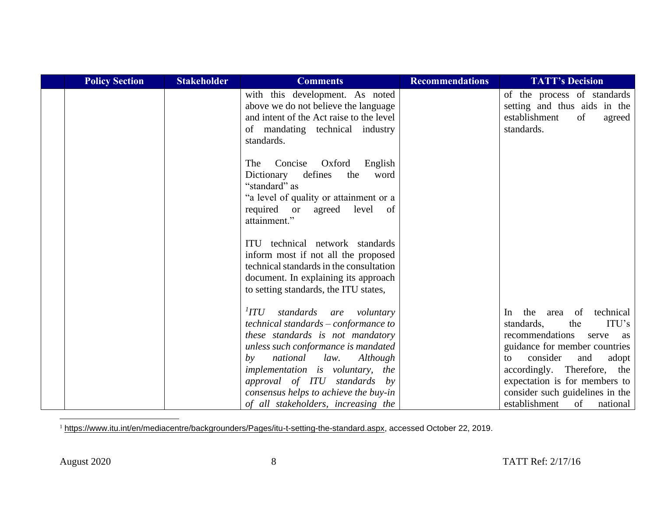| <b>Policy Section</b> | <b>Stakeholder</b> | <b>Comments</b>                                                                                                                                                                                                                                                                                                                                          | <b>Recommendations</b> | <b>TATT's Decision</b>                                                                                                                                                                                                                                                                                     |
|-----------------------|--------------------|----------------------------------------------------------------------------------------------------------------------------------------------------------------------------------------------------------------------------------------------------------------------------------------------------------------------------------------------------------|------------------------|------------------------------------------------------------------------------------------------------------------------------------------------------------------------------------------------------------------------------------------------------------------------------------------------------------|
|                       |                    | with this development. As noted<br>above we do not believe the language<br>and intent of the Act raise to the level<br>of mandating technical industry<br>standards.                                                                                                                                                                                     |                        | of the process of standards<br>setting and thus aids in the<br>establishment<br>of<br>agreed<br>standards.                                                                                                                                                                                                 |
|                       |                    | Concise<br>Oxford<br>English<br>The<br>defines<br>Dictionary<br>the<br>word<br>"standard" as<br>"a level of quality or attainment or a<br>level<br>required or<br>of<br>agreed<br>attainment."                                                                                                                                                           |                        |                                                                                                                                                                                                                                                                                                            |
|                       |                    | ITU technical network standards<br>inform most if not all the proposed<br>technical standards in the consultation<br>document. In explaining its approach<br>to setting standards, the ITU states,                                                                                                                                                       |                        |                                                                                                                                                                                                                                                                                                            |
|                       |                    | $^I \! I \! T U$<br>standards are voluntary<br>technical standards - conformance to<br>these standards is not mandatory<br>unless such conformance is mandated<br>national<br>law.<br>Although<br>by<br>implementation is voluntary, the<br>approval of ITU standards by<br>consensus helps to achieve the buy-in<br>of all stakeholders, increasing the |                        | technical<br>the<br>area of<br>In<br>ITU's<br>standards,<br>the<br>recommendations<br>serve<br>as<br>guidance for member countries<br>consider<br>and<br>adopt<br>to<br>accordingly. Therefore, the<br>expectation is for members to<br>consider such guidelines in the<br>establishment<br>of<br>national |

<sup>1</sup> [https://www.itu.int/en/mediacentre/backgrounders/Pages/itu-t-setting-the-standard.aspx,](https://www.itu.int/en/mediacentre/backgrounders/Pages/itu-t-setting-the-standard.aspx) accessed October 22, 2019.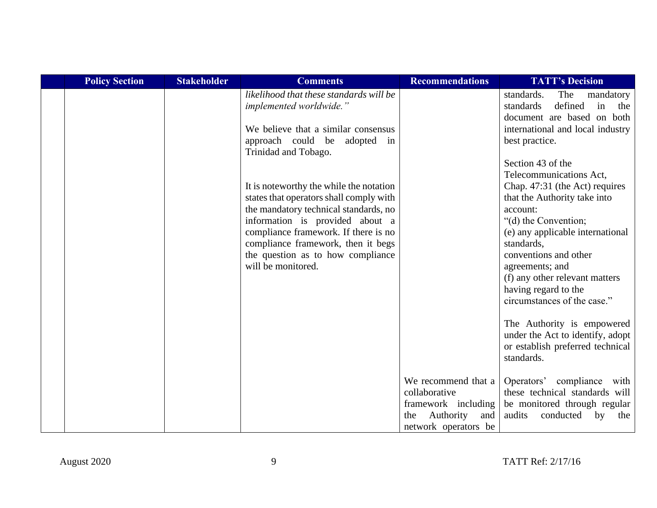| <b>Policy Section</b> | <b>Stakeholder</b> | <b>Comments</b>                                                                                                                                                                                                   | <b>Recommendations</b>                                                                                         | <b>TATT's Decision</b>                                                                                                                                  |
|-----------------------|--------------------|-------------------------------------------------------------------------------------------------------------------------------------------------------------------------------------------------------------------|----------------------------------------------------------------------------------------------------------------|---------------------------------------------------------------------------------------------------------------------------------------------------------|
|                       |                    | likelihood that these standards will be<br>implemented worldwide."<br>We believe that a similar consensus<br>approach could be adopted in                                                                         |                                                                                                                | standards.<br>The<br>mandatory<br>defined<br>in<br>the<br>standards<br>document are based on both<br>international and local industry<br>best practice. |
|                       |                    | Trinidad and Tobago.<br>It is noteworthy the while the notation<br>states that operators shall comply with                                                                                                        |                                                                                                                | Section 43 of the<br>Telecommunications Act,<br>Chap. 47:31 (the Act) requires<br>that the Authority take into                                          |
|                       |                    | the mandatory technical standards, no<br>information is provided about a<br>compliance framework. If there is no<br>compliance framework, then it begs<br>the question as to how compliance<br>will be monitored. |                                                                                                                | account:<br>"(d) the Convention;<br>(e) any applicable international<br>standards,<br>conventions and other                                             |
|                       |                    |                                                                                                                                                                                                                   |                                                                                                                | agreements; and<br>(f) any other relevant matters<br>having regard to the<br>circumstances of the case."                                                |
|                       |                    |                                                                                                                                                                                                                   |                                                                                                                | The Authority is empowered<br>under the Act to identify, adopt<br>or establish preferred technical<br>standards.                                        |
|                       |                    |                                                                                                                                                                                                                   | We recommend that a<br>collaborative<br>framework including<br>Authority<br>and<br>the<br>network operators be | Operators' compliance with<br>these technical standards will<br>be monitored through regular<br>audits<br>conducted<br>by<br>the                        |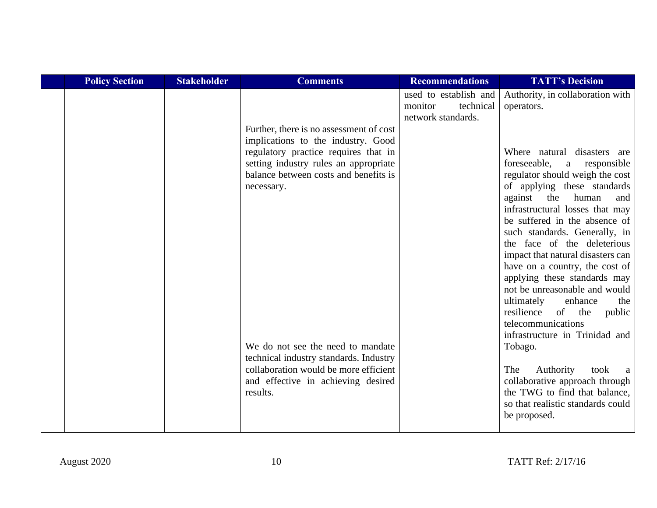| <b>Policy Section</b> | <b>Stakeholder</b> | <b>Comments</b>                                                                                                                                                                                                                                                                                                                                                                                 | <b>Recommendations</b>                                              | <b>TATT's Decision</b>                                                                                                                                                                                                                                                                                                                                                                                                                                                                                                                                                                                                                                                                                                                                                                       |
|-----------------------|--------------------|-------------------------------------------------------------------------------------------------------------------------------------------------------------------------------------------------------------------------------------------------------------------------------------------------------------------------------------------------------------------------------------------------|---------------------------------------------------------------------|----------------------------------------------------------------------------------------------------------------------------------------------------------------------------------------------------------------------------------------------------------------------------------------------------------------------------------------------------------------------------------------------------------------------------------------------------------------------------------------------------------------------------------------------------------------------------------------------------------------------------------------------------------------------------------------------------------------------------------------------------------------------------------------------|
|                       |                    | Further, there is no assessment of cost<br>implications to the industry. Good<br>regulatory practice requires that in<br>setting industry rules an appropriate<br>balance between costs and benefits is<br>necessary.<br>We do not see the need to mandate<br>technical industry standards. Industry<br>collaboration would be more efficient<br>and effective in achieving desired<br>results. | used to establish and<br>technical<br>monitor<br>network standards. | Authority, in collaboration with<br>operators.<br>Where natural disasters are<br>foreseeable,<br>a responsible<br>regulator should weigh the cost<br>of applying these standards<br>against<br>the<br>human<br>and<br>infrastructural losses that may<br>be suffered in the absence of<br>such standards. Generally, in<br>the face of the deleterious<br>impact that natural disasters can<br>have on a country, the cost of<br>applying these standards may<br>not be unreasonable and would<br>ultimately<br>enhance<br>the<br>resilience<br>of the<br>public<br>telecommunications<br>infrastructure in Trinidad and<br>Tobago.<br>Authority<br>The<br>took<br>a<br>collaborative approach through<br>the TWG to find that balance,<br>so that realistic standards could<br>be proposed. |
|                       |                    |                                                                                                                                                                                                                                                                                                                                                                                                 |                                                                     |                                                                                                                                                                                                                                                                                                                                                                                                                                                                                                                                                                                                                                                                                                                                                                                              |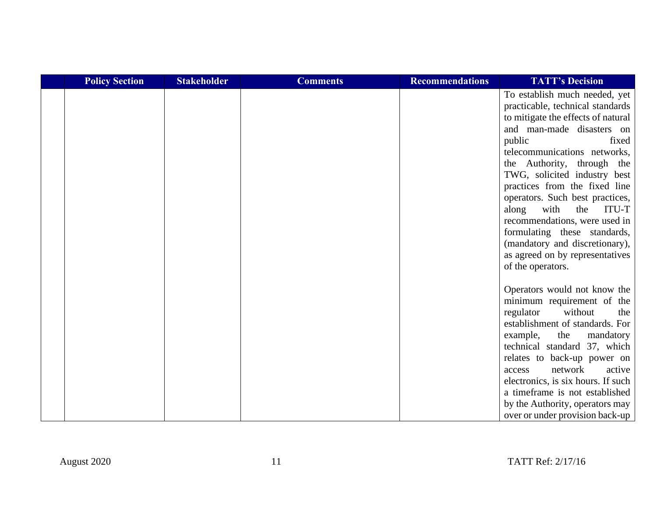| <b>Policy Section</b> | <b>Stakeholder</b> | <b>Comments</b> | <b>Recommendations</b> | <b>TATT's Decision</b>                                                                                                                                                                                                                                                                                                                                                                                                                                                                                                |
|-----------------------|--------------------|-----------------|------------------------|-----------------------------------------------------------------------------------------------------------------------------------------------------------------------------------------------------------------------------------------------------------------------------------------------------------------------------------------------------------------------------------------------------------------------------------------------------------------------------------------------------------------------|
|                       |                    |                 |                        | To establish much needed, yet<br>practicable, technical standards<br>to mitigate the effects of natural<br>and man-made disasters on<br>public<br>fixed<br>telecommunications networks,<br>the Authority, through the<br>TWG, solicited industry best<br>practices from the fixed line<br>operators. Such best practices,<br>with<br>the<br>along<br>ITU-T<br>recommendations, were used in<br>formulating these standards,<br>(mandatory and discretionary),<br>as agreed on by representatives<br>of the operators. |
|                       |                    |                 |                        | Operators would not know the<br>minimum requirement of the<br>without<br>regulator<br>the<br>establishment of standards. For<br>example,<br>the<br>mandatory<br>technical standard 37, which<br>relates to back-up power on<br>network<br>active<br>access<br>electronics, is six hours. If such<br>a timeframe is not established<br>by the Authority, operators may<br>over or under provision back-up                                                                                                              |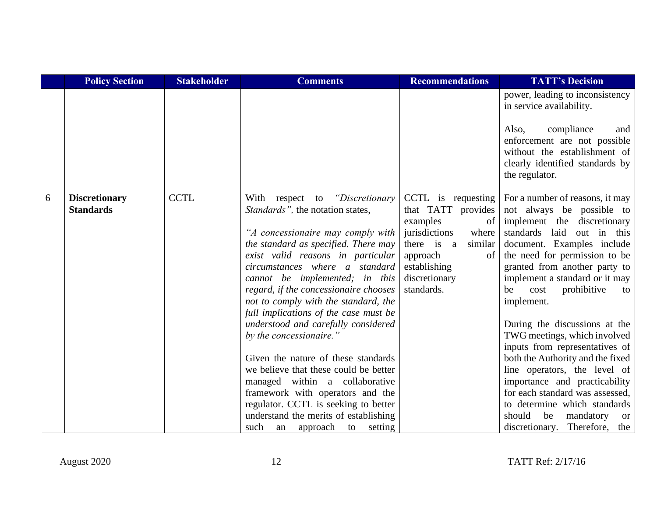|   | <b>Policy Section</b>                    | <b>Stakeholder</b> | <b>Comments</b>                                                                                                                                                                                                                                                                                                                                                                                                                                                                                                                                                                                                                                                                                                                     | <b>Recommendations</b>                                                                                                                                                            | <b>TATT's Decision</b>                                                                                                                                                                                                                                                                                                                                                                                                                                                                                                                                                                                                                                                |
|---|------------------------------------------|--------------------|-------------------------------------------------------------------------------------------------------------------------------------------------------------------------------------------------------------------------------------------------------------------------------------------------------------------------------------------------------------------------------------------------------------------------------------------------------------------------------------------------------------------------------------------------------------------------------------------------------------------------------------------------------------------------------------------------------------------------------------|-----------------------------------------------------------------------------------------------------------------------------------------------------------------------------------|-----------------------------------------------------------------------------------------------------------------------------------------------------------------------------------------------------------------------------------------------------------------------------------------------------------------------------------------------------------------------------------------------------------------------------------------------------------------------------------------------------------------------------------------------------------------------------------------------------------------------------------------------------------------------|
|   |                                          |                    |                                                                                                                                                                                                                                                                                                                                                                                                                                                                                                                                                                                                                                                                                                                                     |                                                                                                                                                                                   | power, leading to inconsistency<br>in service availability.<br>compliance<br>Also,<br>and<br>enforcement are not possible<br>without the establishment of<br>clearly identified standards by<br>the regulator.                                                                                                                                                                                                                                                                                                                                                                                                                                                        |
| 6 | <b>Discretionary</b><br><b>Standards</b> | <b>CCTL</b>        | With respect to "Discretionary<br>Standards", the notation states,<br>"A concessionaire may comply with<br>the standard as specified. There may<br>exist valid reasons in particular<br>circumstances where a standard<br>cannot be implemented; in this<br>regard, if the concessionaire chooses<br>not to comply with the standard, the<br>full implications of the case must be<br>understood and carefully considered<br>by the concessionaire."<br>Given the nature of these standards<br>we believe that these could be better<br>managed within a collaborative<br>framework with operators and the<br>regulator. CCTL is seeking to better<br>understand the merits of establishing<br>such<br>approach<br>to setting<br>an | CCTL is requesting<br>that TATT<br>provides<br>examples<br>of<br>jurisdictions<br>where<br>there is a<br>similar<br>approach<br>of<br>establishing<br>discretionary<br>standards. | For a number of reasons, it may<br>not always be possible to<br>implement the discretionary<br>standards laid<br>out in this<br>document. Examples include<br>the need for permission to be<br>granted from another party to<br>implement a standard or it may<br>prohibitive<br>be<br>cost<br>to<br>implement.<br>During the discussions at the<br>TWG meetings, which involved<br>inputs from representatives of<br>both the Authority and the fixed<br>line operators, the level of<br>importance and practicability<br>for each standard was assessed,<br>to determine which standards<br>should<br>be<br>mandatory<br><b>or</b><br>discretionary. Therefore, the |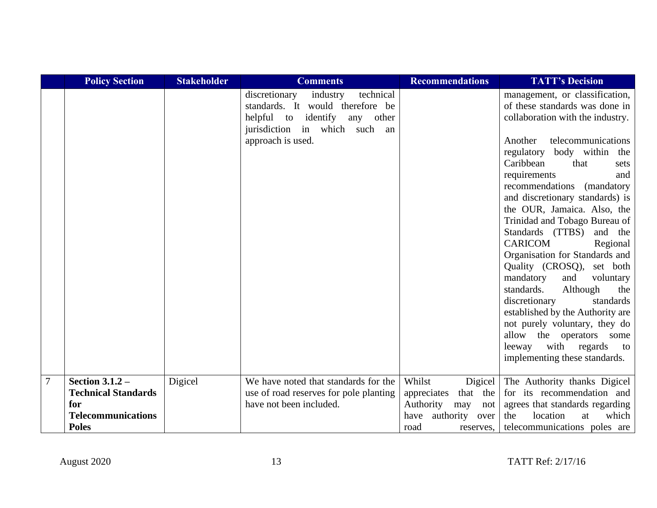|                | <b>Policy Section</b>                                                                               | <b>Stakeholder</b> | <b>Comments</b>                                                                                                                                                         | <b>Recommendations</b>                                                                                    | <b>TATT's Decision</b>                                                                                                                                                                                                                                                                                                                                                                                                                                                                                                                                                                                                                                                                                                                                 |
|----------------|-----------------------------------------------------------------------------------------------------|--------------------|-------------------------------------------------------------------------------------------------------------------------------------------------------------------------|-----------------------------------------------------------------------------------------------------------|--------------------------------------------------------------------------------------------------------------------------------------------------------------------------------------------------------------------------------------------------------------------------------------------------------------------------------------------------------------------------------------------------------------------------------------------------------------------------------------------------------------------------------------------------------------------------------------------------------------------------------------------------------------------------------------------------------------------------------------------------------|
|                |                                                                                                     |                    | technical<br>industry<br>discretionary<br>standards. It would therefore be<br>helpful to identify<br>any other<br>jurisdiction in which such<br>an<br>approach is used. |                                                                                                           | management, or classification,<br>of these standards was done in<br>collaboration with the industry.<br>Another<br>telecommunications<br>regulatory body within the<br>Caribbean<br>that<br>sets<br>requirements<br>and<br>recommendations (mandatory<br>and discretionary standards) is<br>the OUR, Jamaica. Also, the<br>Trinidad and Tobago Bureau of<br>Standards (TTBS)<br>and the<br><b>CARICOM</b><br>Regional<br>Organisation for Standards and<br>Quality (CROSQ), set both<br>mandatory<br>and<br>voluntary<br>standards.<br>Although<br>the<br>discretionary<br>standards<br>established by the Authority are<br>not purely voluntary, they do<br>allow the operators some<br>with regards<br>leeway<br>to<br>implementing these standards. |
| $\overline{7}$ | Section $3.1.2 -$<br><b>Technical Standards</b><br>for<br><b>Telecommunications</b><br><b>Poles</b> | Digicel            | We have noted that standards for the<br>use of road reserves for pole planting<br>have not been included.                                                               | Whilst<br>Digicel<br>that the<br>appreciates<br>Authority<br>may<br>not<br>have authority<br>over<br>road | The Authority thanks Digicel<br>for its recommendation and<br>agrees that standards regarding<br>which<br>the<br>location<br>at<br>reserves, telecommunications poles are                                                                                                                                                                                                                                                                                                                                                                                                                                                                                                                                                                              |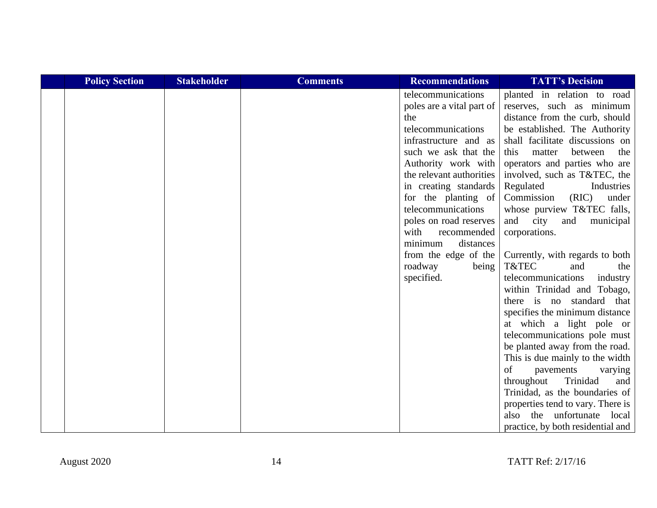| <b>Policy Section</b> | <b>Stakeholder</b> | <b>Comments</b> | <b>Recommendations</b>    | <b>TATT's Decision</b>            |
|-----------------------|--------------------|-----------------|---------------------------|-----------------------------------|
|                       |                    |                 | telecommunications        | planted in relation to road       |
|                       |                    |                 | poles are a vital part of | reserves, such as minimum         |
|                       |                    |                 | the                       | distance from the curb, should    |
|                       |                    |                 | telecommunications        | be established. The Authority     |
|                       |                    |                 | infrastructure and as     | shall facilitate discussions on   |
|                       |                    |                 | such we ask that the      | matter<br>between<br>the<br>this  |
|                       |                    |                 | Authority work with       | operators and parties who are     |
|                       |                    |                 | the relevant authorities  | involved, such as T&TEC, the      |
|                       |                    |                 | in creating standards     | Regulated<br>Industries           |
|                       |                    |                 | for the planting of       | (RIC)<br>Commission<br>under      |
|                       |                    |                 | telecommunications        | whose purview T&TEC falls,        |
|                       |                    |                 | poles on road reserves    | and<br>city<br>and<br>municipal   |
|                       |                    |                 | with<br>recommended       | corporations.                     |
|                       |                    |                 | minimum<br>distances      |                                   |
|                       |                    |                 | from the edge of the      | Currently, with regards to both   |
|                       |                    |                 | roadway<br>being          | T&TEC<br>and<br>the               |
|                       |                    |                 | specified.                | telecommunications<br>industry    |
|                       |                    |                 |                           | within Trinidad and Tobago,       |
|                       |                    |                 |                           | there is no standard that         |
|                       |                    |                 |                           | specifies the minimum distance    |
|                       |                    |                 |                           | at which a light pole or          |
|                       |                    |                 |                           | telecommunications pole must      |
|                       |                    |                 |                           | be planted away from the road.    |
|                       |                    |                 |                           | This is due mainly to the width   |
|                       |                    |                 |                           | of<br>pavements<br>varying        |
|                       |                    |                 |                           | throughout<br>Trinidad<br>and     |
|                       |                    |                 |                           | Trinidad, as the boundaries of    |
|                       |                    |                 |                           | properties tend to vary. There is |
|                       |                    |                 |                           | also the unfortunate local        |
|                       |                    |                 |                           | practice, by both residential and |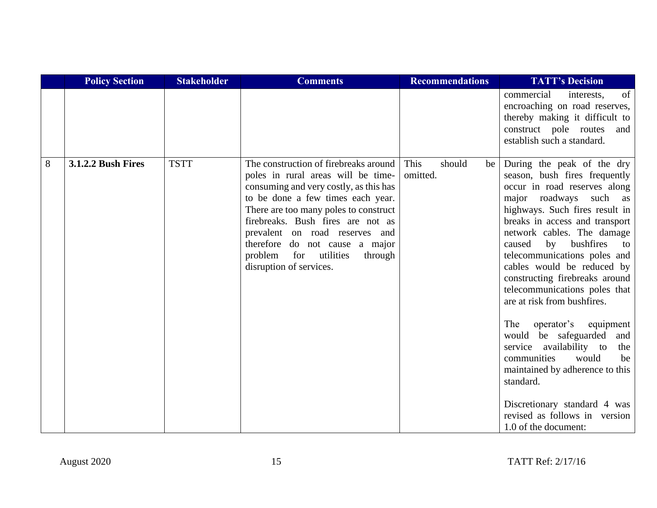|   | <b>Policy Section</b>     | <b>Stakeholder</b> | <b>Comments</b>                                                                                                                                                                                                                                                                                                                                                             | <b>Recommendations</b>           | <b>TATT's Decision</b>                                                                                                                                                                                                                                                                                                                                                                                                                                                                                                                                                                             |
|---|---------------------------|--------------------|-----------------------------------------------------------------------------------------------------------------------------------------------------------------------------------------------------------------------------------------------------------------------------------------------------------------------------------------------------------------------------|----------------------------------|----------------------------------------------------------------------------------------------------------------------------------------------------------------------------------------------------------------------------------------------------------------------------------------------------------------------------------------------------------------------------------------------------------------------------------------------------------------------------------------------------------------------------------------------------------------------------------------------------|
|   |                           |                    |                                                                                                                                                                                                                                                                                                                                                                             |                                  | commercial<br>interests,<br>of<br>encroaching on road reserves,<br>thereby making it difficult to<br>construct pole routes<br>and<br>establish such a standard.                                                                                                                                                                                                                                                                                                                                                                                                                                    |
| 8 | <b>3.1.2.2 Bush Fires</b> | <b>TSTT</b>        | The construction of firebreaks around<br>poles in rural areas will be time-<br>consuming and very costly, as this has<br>to be done a few times each year.<br>There are too many poles to construct<br>firebreaks. Bush fires are not as<br>prevalent on road reserves and<br>therefore do not cause a major<br>problem for utilities<br>through<br>disruption of services. | This<br>should<br>be<br>omitted. | During the peak of the dry<br>season, bush fires frequently<br>occur in road reserves along<br>major roadways such as<br>highways. Such fires result in<br>breaks in access and transport<br>network cables. The damage<br>by bushfires<br>caused<br>to<br>telecommunications poles and<br>cables would be reduced by<br>constructing firebreaks around<br>telecommunications poles that<br>are at risk from bushfires.<br>operator's equipment<br>The<br>would be safeguarded and<br>service availability to<br>the<br>would<br>communities<br>be<br>maintained by adherence to this<br>standard. |
|   |                           |                    |                                                                                                                                                                                                                                                                                                                                                                             |                                  | Discretionary standard 4 was<br>revised as follows in version<br>1.0 of the document:                                                                                                                                                                                                                                                                                                                                                                                                                                                                                                              |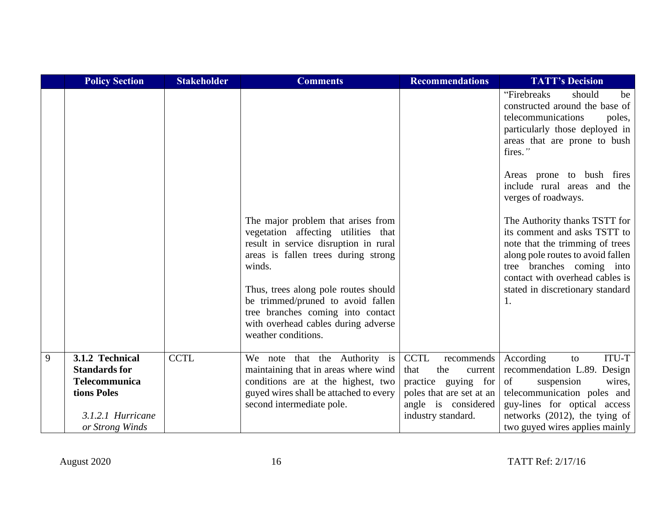|   | <b>Policy Section</b>                                                                                                  | <b>Stakeholder</b> | <b>Comments</b>                                                                                                                                                                                                                                                                                                                                     | <b>Recommendations</b>                                                                                                                              | <b>TATT's Decision</b>                                                                                                                                                                                                                                                                                                                                                                                                                                                                                            |
|---|------------------------------------------------------------------------------------------------------------------------|--------------------|-----------------------------------------------------------------------------------------------------------------------------------------------------------------------------------------------------------------------------------------------------------------------------------------------------------------------------------------------------|-----------------------------------------------------------------------------------------------------------------------------------------------------|-------------------------------------------------------------------------------------------------------------------------------------------------------------------------------------------------------------------------------------------------------------------------------------------------------------------------------------------------------------------------------------------------------------------------------------------------------------------------------------------------------------------|
|   |                                                                                                                        |                    | The major problem that arises from<br>vegetation affecting utilities that<br>result in service disruption in rural<br>areas is fallen trees during strong<br>winds.<br>Thus, trees along pole routes should<br>be trimmed/pruned to avoid fallen<br>tree branches coming into contact<br>with overhead cables during adverse<br>weather conditions. |                                                                                                                                                     | "Firebreaks"<br>should<br>be<br>constructed around the base of<br>telecommunications<br>poles,<br>particularly those deployed in<br>areas that are prone to bush<br>fires."<br>Areas prone to bush fires<br>include rural areas and the<br>verges of roadways.<br>The Authority thanks TSTT for<br>its comment and asks TSTT to<br>note that the trimming of trees<br>along pole routes to avoid fallen<br>tree branches coming into<br>contact with overhead cables is<br>stated in discretionary standard<br>1. |
| 9 | 3.1.2 Technical<br><b>Standards for</b><br><b>Telecommunica</b><br>tions Poles<br>3.1.2.1 Hurricane<br>or Strong Winds | <b>CCTL</b>        | We note that the Authority is<br>maintaining that in areas where wind<br>conditions are at the highest, two<br>guyed wires shall be attached to every<br>second intermediate pole.                                                                                                                                                                  | <b>CCTL</b><br>recommends<br>that<br>the<br>current<br>practice guying for<br>poles that are set at an<br>angle is considered<br>industry standard. | ITU-T<br>According<br>to<br>recommendation L.89. Design<br>of<br>suspension<br>wires,<br>telecommunication poles and<br>guy-lines for optical access<br>networks (2012), the tying of<br>two guyed wires applies mainly                                                                                                                                                                                                                                                                                           |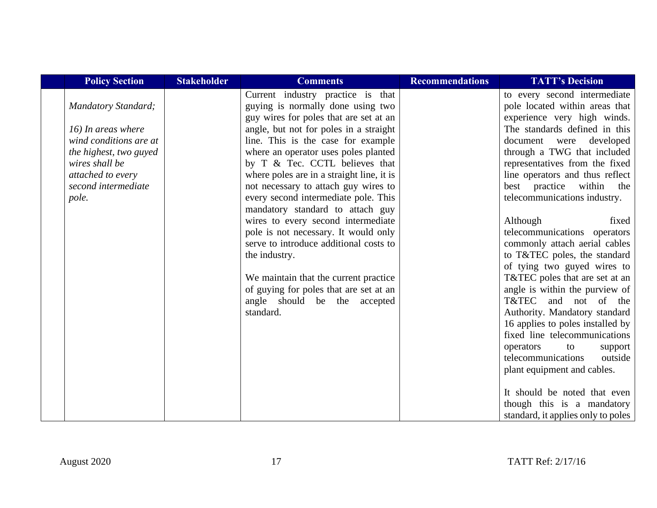| <b>Policy Section</b>      | <b>Stakeholder</b> | <b>Comments</b>                           | <b>Recommendations</b> | <b>TATT's Decision</b>             |
|----------------------------|--------------------|-------------------------------------------|------------------------|------------------------------------|
|                            |                    | Current industry practice is that         |                        | to every second intermediate       |
| <b>Mandatory Standard;</b> |                    | guying is normally done using two         |                        | pole located within areas that     |
|                            |                    | guy wires for poles that are set at an    |                        | experience very high winds.        |
| 16) In areas where         |                    | angle, but not for poles in a straight    |                        | The standards defined in this      |
| wind conditions are at     |                    | line. This is the case for example        |                        | document were developed            |
| the highest, two guyed     |                    | where an operator uses poles planted      |                        | through a TWG that included        |
| wires shall be             |                    | by T & Tec. CCTL believes that            |                        | representatives from the fixed     |
| attached to every          |                    | where poles are in a straight line, it is |                        | line operators and thus reflect    |
| second intermediate        |                    | not necessary to attach guy wires to      |                        | best practice within<br>the        |
| pole.                      |                    | every second intermediate pole. This      |                        | telecommunications industry.       |
|                            |                    | mandatory standard to attach guy          |                        |                                    |
|                            |                    | wires to every second intermediate        |                        | Although<br>fixed                  |
|                            |                    | pole is not necessary. It would only      |                        | telecommunications operators       |
|                            |                    | serve to introduce additional costs to    |                        | commonly attach aerial cables      |
|                            |                    | the industry.                             |                        | to T&TEC poles, the standard       |
|                            |                    |                                           |                        | of tying two guyed wires to        |
|                            |                    | We maintain that the current practice     |                        | T&TEC poles that are set at an     |
|                            |                    | of guying for poles that are set at an    |                        | angle is within the purview of     |
|                            |                    | angle should be the accepted              |                        | T&TEC and not of the               |
|                            |                    | standard.                                 |                        | Authority. Mandatory standard      |
|                            |                    |                                           |                        | 16 applies to poles installed by   |
|                            |                    |                                           |                        | fixed line telecommunications      |
|                            |                    |                                           |                        | operators<br>to<br>support         |
|                            |                    |                                           |                        | telecommunications<br>outside      |
|                            |                    |                                           |                        | plant equipment and cables.        |
|                            |                    |                                           |                        | It should be noted that even       |
|                            |                    |                                           |                        | though this is a mandatory         |
|                            |                    |                                           |                        | standard, it applies only to poles |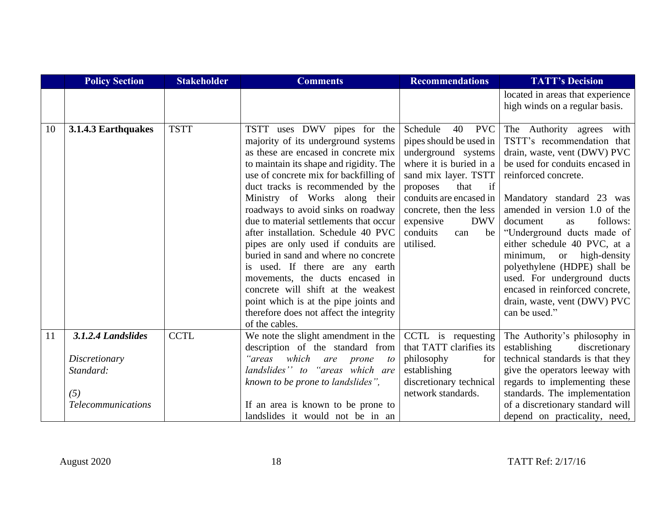|    | <b>Policy Section</b>     | <b>Stakeholder</b> | <b>Comments</b>                         | <b>Recommendations</b>       | <b>TATT's Decision</b>                                             |
|----|---------------------------|--------------------|-----------------------------------------|------------------------------|--------------------------------------------------------------------|
|    |                           |                    |                                         |                              | located in areas that experience<br>high winds on a regular basis. |
|    |                           |                    |                                         |                              |                                                                    |
| 10 | 3.1.4.3 Earthquakes       | <b>TSTT</b>        | TSTT uses DWV pipes for the             | Schedule<br><b>PVC</b><br>40 | The Authority agrees with                                          |
|    |                           |                    | majority of its underground systems     | pipes should be used in      | TSTT's recommendation that                                         |
|    |                           |                    | as these are encased in concrete mix    | underground systems          | drain, waste, vent (DWV) PVC                                       |
|    |                           |                    | to maintain its shape and rigidity. The | where it is buried in a      | be used for conduits encased in                                    |
|    |                           |                    | use of concrete mix for backfilling of  | sand mix layer. TSTT         | reinforced concrete.                                               |
|    |                           |                    | duct tracks is recommended by the       | if<br>that<br>proposes       |                                                                    |
|    |                           |                    | Ministry of Works along their           | conduits are encased in      | Mandatory standard 23 was                                          |
|    |                           |                    | roadways to avoid sinks on roadway      | concrete, then the less      | amended in version 1.0 of the                                      |
|    |                           |                    | due to material settlements that occur  | expensive<br><b>DWV</b>      | follows:<br>document<br>as                                         |
|    |                           |                    | after installation. Schedule 40 PVC     | conduits<br>be<br>can        | "Underground ducts made of                                         |
|    |                           |                    | pipes are only used if conduits are     | utilised.                    | either schedule 40 PVC, at a                                       |
|    |                           |                    | buried in sand and where no concrete    |                              | minimum,<br>high-density<br><b>or</b>                              |
|    |                           |                    | is used. If there are any earth         |                              | polyethylene (HDPE) shall be                                       |
|    |                           |                    | movements, the ducts encased in         |                              | used. For underground ducts                                        |
|    |                           |                    | concrete will shift at the weakest      |                              | encased in reinforced concrete,                                    |
|    |                           |                    | point which is at the pipe joints and   |                              | drain, waste, vent (DWV) PVC                                       |
|    |                           |                    | therefore does not affect the integrity |                              | can be used."                                                      |
|    |                           |                    | of the cables.                          |                              |                                                                    |
| 11 | 3.1.2.4 Landslides        | <b>CCTL</b>        | We note the slight amendment in the     | CCTL is requesting           | The Authority's philosophy in                                      |
|    |                           |                    | description of the standard from        | that TATT clarifies its      | establishing<br>discretionary                                      |
|    | Discretionary             |                    | which<br>"areas<br>are<br>prone<br>to   | philosophy<br>for            | technical standards is that they                                   |
|    | Standard:                 |                    | landslides" to "areas which are         | establishing                 | give the operators leeway with                                     |
|    |                           |                    | known to be prone to landslides",       | discretionary technical      | regards to implementing these                                      |
|    | (5)                       |                    |                                         | network standards.           | standards. The implementation                                      |
|    | <b>Telecommunications</b> |                    | If an area is known to be prone to      |                              | of a discretionary standard will                                   |
|    |                           |                    | landslides it would not be in an        |                              | depend on practicality, need,                                      |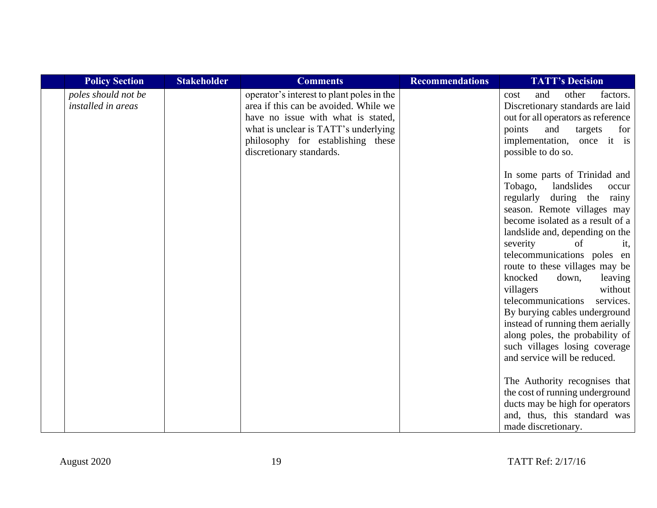| <b>Policy Section</b>                     | <b>Stakeholder</b> | <b>Comments</b>                                                                                                                                                                                                                   | <b>Recommendations</b> | <b>TATT's Decision</b>                                                                                                                                                                                                                                                                                                                                                                                                                                                                                                                                       |
|-------------------------------------------|--------------------|-----------------------------------------------------------------------------------------------------------------------------------------------------------------------------------------------------------------------------------|------------------------|--------------------------------------------------------------------------------------------------------------------------------------------------------------------------------------------------------------------------------------------------------------------------------------------------------------------------------------------------------------------------------------------------------------------------------------------------------------------------------------------------------------------------------------------------------------|
| poles should not be<br>installed in areas |                    | operator's interest to plant poles in the<br>area if this can be avoided. While we<br>have no issue with what is stated,<br>what is unclear is TATT's underlying<br>philosophy for establishing these<br>discretionary standards. |                        | other<br>and<br>factors.<br>cost<br>Discretionary standards are laid<br>out for all operators as reference<br>points<br>targets<br>and<br>for<br>implementation, once it is<br>possible to do so.<br>In some parts of Trinidad and<br>Tobago,<br>landslides<br>occur<br>during the rainy<br>regularly<br>season. Remote villages may<br>become isolated as a result of a<br>landslide and, depending on the<br>severity<br>of<br>it,<br>telecommunications poles en<br>route to these villages may be<br>knocked<br>down,<br>leaving<br>without<br>villagers |
|                                           |                    |                                                                                                                                                                                                                                   |                        | telecommunications<br>services.<br>By burying cables underground<br>instead of running them aerially<br>along poles, the probability of<br>such villages losing coverage<br>and service will be reduced.<br>The Authority recognises that<br>the cost of running underground<br>ducts may be high for operators<br>and, thus, this standard was<br>made discretionary.                                                                                                                                                                                       |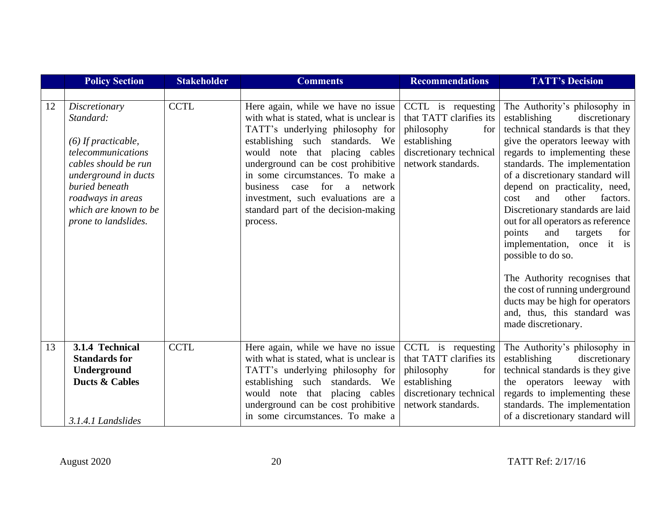|    | <b>Policy Section</b>                                                                                                                                                                                             | <b>Stakeholder</b> | <b>Comments</b>                                                                                                                                                                                                                                                                                                                                                                                        | <b>Recommendations</b>                                                                                                              | <b>TATT's Decision</b>                                                                                                                                                                                                                                                                                                                                                                                                                                                                                                                                                                                                                         |
|----|-------------------------------------------------------------------------------------------------------------------------------------------------------------------------------------------------------------------|--------------------|--------------------------------------------------------------------------------------------------------------------------------------------------------------------------------------------------------------------------------------------------------------------------------------------------------------------------------------------------------------------------------------------------------|-------------------------------------------------------------------------------------------------------------------------------------|------------------------------------------------------------------------------------------------------------------------------------------------------------------------------------------------------------------------------------------------------------------------------------------------------------------------------------------------------------------------------------------------------------------------------------------------------------------------------------------------------------------------------------------------------------------------------------------------------------------------------------------------|
|    |                                                                                                                                                                                                                   |                    |                                                                                                                                                                                                                                                                                                                                                                                                        |                                                                                                                                     |                                                                                                                                                                                                                                                                                                                                                                                                                                                                                                                                                                                                                                                |
| 12 | Discretionary<br>Standard:<br>$(6)$ If practicable,<br>telecommunications<br>cables should be run<br>underground in ducts<br>buried beneath<br>roadways in areas<br>which are known to be<br>prone to landslides. | <b>CCTL</b>        | Here again, while we have no issue<br>with what is stated, what is unclear is<br>TATT's underlying philosophy for<br>establishing such standards. We<br>would note that placing cables<br>underground can be cost prohibitive<br>in some circumstances. To make a<br>for<br>business<br>network<br>case<br>a<br>investment, such evaluations are a<br>standard part of the decision-making<br>process. | CCTL is requesting<br>that TATT clarifies its<br>philosophy<br>for<br>establishing<br>discretionary technical<br>network standards. | The Authority's philosophy in<br>establishing<br>discretionary<br>technical standards is that they<br>give the operators leeway with<br>regards to implementing these<br>standards. The implementation<br>of a discretionary standard will<br>depend on practicality, need,<br>and<br>other<br>factors.<br>cost<br>Discretionary standards are laid<br>out for all operators as reference<br>points<br>and<br>targets<br>for<br>implementation, once it is<br>possible to do so.<br>The Authority recognises that<br>the cost of running underground<br>ducts may be high for operators<br>and, thus, this standard was<br>made discretionary. |
| 13 | 3.1.4 Technical<br><b>Standards for</b><br>Underground<br><b>Ducts &amp; Cables</b><br>3.1.4.1 Landslides                                                                                                         | <b>CCTL</b>        | Here again, while we have no issue<br>with what is stated, what is unclear is<br>TATT's underlying philosophy for<br>establishing such standards. We<br>would note that placing cables<br>underground can be cost prohibitive<br>in some circumstances. To make a                                                                                                                                      | CCTL is requesting<br>that TATT clarifies its<br>philosophy<br>for<br>establishing<br>discretionary technical<br>network standards. | The Authority's philosophy in<br>establishing<br>discretionary<br>technical standards is they give<br>the operators leeway with<br>regards to implementing these<br>standards. The implementation<br>of a discretionary standard will                                                                                                                                                                                                                                                                                                                                                                                                          |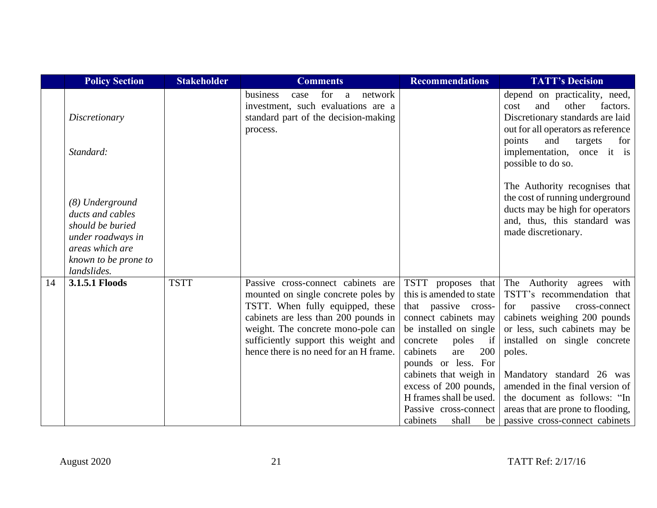|    | <b>Policy Section</b>                                                                                                                  | <b>Stakeholder</b> | <b>Comments</b>                                                                                                                                                                                                                                                               | <b>Recommendations</b>                                                                                                                                                                                                                                                                                                             | <b>TATT's Decision</b>                                                                                                                                                                                                                                                                                                                                                          |
|----|----------------------------------------------------------------------------------------------------------------------------------------|--------------------|-------------------------------------------------------------------------------------------------------------------------------------------------------------------------------------------------------------------------------------------------------------------------------|------------------------------------------------------------------------------------------------------------------------------------------------------------------------------------------------------------------------------------------------------------------------------------------------------------------------------------|---------------------------------------------------------------------------------------------------------------------------------------------------------------------------------------------------------------------------------------------------------------------------------------------------------------------------------------------------------------------------------|
|    | Discretionary                                                                                                                          |                    | for<br>business<br>network<br>case<br>a<br>investment, such evaluations are a<br>standard part of the decision-making<br>process.                                                                                                                                             |                                                                                                                                                                                                                                                                                                                                    | depend on practicality, need,<br>and<br>other<br>factors.<br>cost<br>Discretionary standards are laid<br>out for all operators as reference                                                                                                                                                                                                                                     |
|    | Standard:                                                                                                                              |                    |                                                                                                                                                                                                                                                                               |                                                                                                                                                                                                                                                                                                                                    | points<br>and<br>targets<br>for<br>implementation, once it is<br>possible to do so.                                                                                                                                                                                                                                                                                             |
|    | (8) Underground<br>ducts and cables<br>should be buried<br>under roadways in<br>areas which are<br>known to be prone to<br>landslides. |                    |                                                                                                                                                                                                                                                                               |                                                                                                                                                                                                                                                                                                                                    | The Authority recognises that<br>the cost of running underground<br>ducts may be high for operators<br>and, thus, this standard was<br>made discretionary.                                                                                                                                                                                                                      |
| 14 | 3.1.5.1 Floods                                                                                                                         | <b>TSTT</b>        | Passive cross-connect cabinets are<br>mounted on single concrete poles by<br>TSTT. When fully equipped, these<br>cabinets are less than 200 pounds in<br>weight. The concrete mono-pole can<br>sufficiently support this weight and<br>hence there is no need for an H frame. | TSTT proposes that<br>this is amended to state<br>that passive cross-<br>connect cabinets may<br>be installed on single<br>poles if<br>concrete<br>cabinets<br>are<br>200<br>pounds or less. For<br>cabinets that weigh in<br>excess of 200 pounds,<br>H frames shall be used.<br>Passive cross-connect<br>cabinets<br>shall<br>be | The Authority agrees<br>with<br>TSTT's recommendation that<br>passive<br>for<br>cross-connect<br>cabinets weighing 200 pounds<br>or less, such cabinets may be<br>installed on single concrete<br>poles.<br>Mandatory standard 26 was<br>amended in the final version of<br>the document as follows: "In<br>areas that are prone to flooding,<br>passive cross-connect cabinets |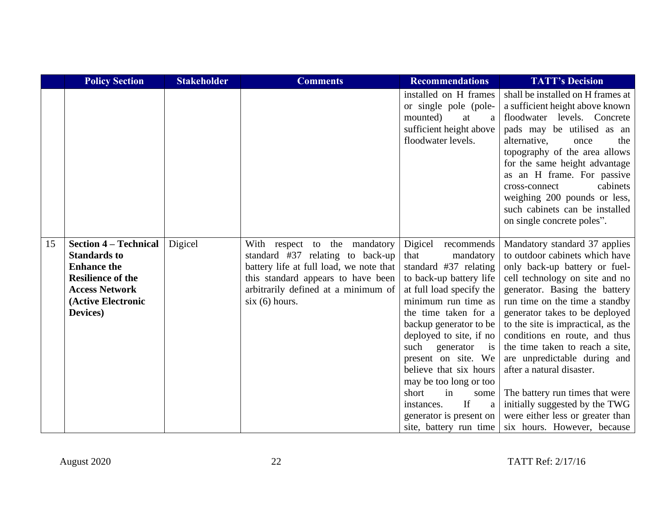|    | <b>Policy Section</b>                                                                                                                                            | <b>Stakeholder</b> | <b>Comments</b>                                                                                                                                                                                            | <b>Recommendations</b>                                                                                                                                                                                                                                                                                                                                                                                                                                        | <b>TATT's Decision</b>                                                                                                                                                                                                                                                                                                                                                                                                                                                                                                                                 |
|----|------------------------------------------------------------------------------------------------------------------------------------------------------------------|--------------------|------------------------------------------------------------------------------------------------------------------------------------------------------------------------------------------------------------|---------------------------------------------------------------------------------------------------------------------------------------------------------------------------------------------------------------------------------------------------------------------------------------------------------------------------------------------------------------------------------------------------------------------------------------------------------------|--------------------------------------------------------------------------------------------------------------------------------------------------------------------------------------------------------------------------------------------------------------------------------------------------------------------------------------------------------------------------------------------------------------------------------------------------------------------------------------------------------------------------------------------------------|
|    |                                                                                                                                                                  |                    |                                                                                                                                                                                                            | installed on H frames<br>or single pole (pole-<br>mounted)<br>at<br>a<br>sufficient height above<br>floodwater levels.                                                                                                                                                                                                                                                                                                                                        | shall be installed on H frames at<br>a sufficient height above known<br>floodwater levels. Concrete<br>pads may be utilised as an<br>alternative,<br>the<br>once<br>topography of the area allows<br>for the same height advantage<br>as an H frame. For passive<br>cabinets<br>cross-connect<br>weighing 200 pounds or less,<br>such cabinets can be installed<br>on single concrete poles".                                                                                                                                                          |
| 15 | <b>Section 4 – Technical</b><br><b>Standards to</b><br><b>Enhance the</b><br><b>Resilience of the</b><br><b>Access Network</b><br>(Active Electronic<br>Devices) | Digicel            | With respect to the mandatory<br>standard #37 relating to back-up<br>battery life at full load, we note that<br>this standard appears to have been<br>arbitrarily defined at a minimum of<br>six(6) hours. | Digicel recommends<br>mandatory<br>that<br>standard #37 relating<br>to back-up battery life<br>at full load specify the<br>minimum run time as<br>the time taken for a<br>backup generator to be<br>deployed to site, if no<br>such<br>generator<br>$\overline{1}S$<br>present on site. We<br>believe that six hours<br>may be too long or too<br>short<br>in<br>some<br>$\mathbf{H}$<br>instances.<br>a<br>generator is present on<br>site, battery run time | Mandatory standard 37 applies<br>to outdoor cabinets which have<br>only back-up battery or fuel-<br>cell technology on site and no<br>generator. Basing the battery<br>run time on the time a standby<br>generator takes to be deployed<br>to the site is impractical, as the<br>conditions en route, and thus<br>the time taken to reach a site,<br>are unpredictable during and<br>after a natural disaster.<br>The battery run times that were<br>initially suggested by the TWG<br>were either less or greater than<br>six hours. However, because |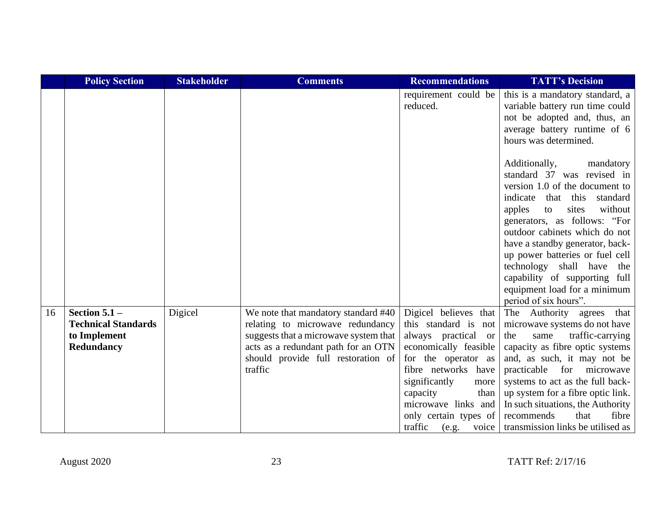|    | <b>Policy Section</b>                                                       | <b>Stakeholder</b> | <b>Comments</b>                                                                                                                                                                                          | <b>Recommendations</b>                                                                                                                                                                                                                                                  | <b>TATT's Decision</b>                                                                                                                                                                                                                                                                                                                                                                                                               |
|----|-----------------------------------------------------------------------------|--------------------|----------------------------------------------------------------------------------------------------------------------------------------------------------------------------------------------------------|-------------------------------------------------------------------------------------------------------------------------------------------------------------------------------------------------------------------------------------------------------------------------|--------------------------------------------------------------------------------------------------------------------------------------------------------------------------------------------------------------------------------------------------------------------------------------------------------------------------------------------------------------------------------------------------------------------------------------|
|    |                                                                             |                    |                                                                                                                                                                                                          | requirement could be<br>reduced.                                                                                                                                                                                                                                        | this is a mandatory standard, a<br>variable battery run time could<br>not be adopted and, thus, an<br>average battery runtime of 6<br>hours was determined.                                                                                                                                                                                                                                                                          |
|    |                                                                             |                    |                                                                                                                                                                                                          |                                                                                                                                                                                                                                                                         | Additionally,<br>mandatory<br>standard 37 was revised in<br>version 1.0 of the document to<br>indicate<br>standard<br>that this<br>without<br>sites<br>apples<br>to<br>generators, as follows: "For<br>outdoor cabinets which do not<br>have a standby generator, back-<br>up power batteries or fuel cell<br>technology shall have<br>the<br>capability of supporting full<br>equipment load for a minimum<br>period of six hours". |
| 16 | Section $5.1 -$<br><b>Technical Standards</b><br>to Implement<br>Redundancy | Digicel            | We note that mandatory standard #40<br>relating to microwave redundancy<br>suggests that a microwave system that<br>acts as a redundant path for an OTN<br>should provide full restoration of<br>traffic | Digicel believes that<br>this standard is not<br>always practical or<br>economically feasible<br>for the operator as<br>fibre networks have<br>significantly<br>more<br>capacity<br>than<br>microwave links and<br>only certain types of<br>traffic<br>$(e.g. \tvoice)$ | The Authority agrees that<br>microwave systems do not have<br>the<br>traffic-carrying<br>same<br>capacity as fibre optic systems<br>and, as such, it may not be<br>practicable for microwave<br>systems to act as the full back-<br>up system for a fibre optic link.<br>In such situations, the Authority<br>recommends<br>that<br>fibre<br>transmission links be utilised as                                                       |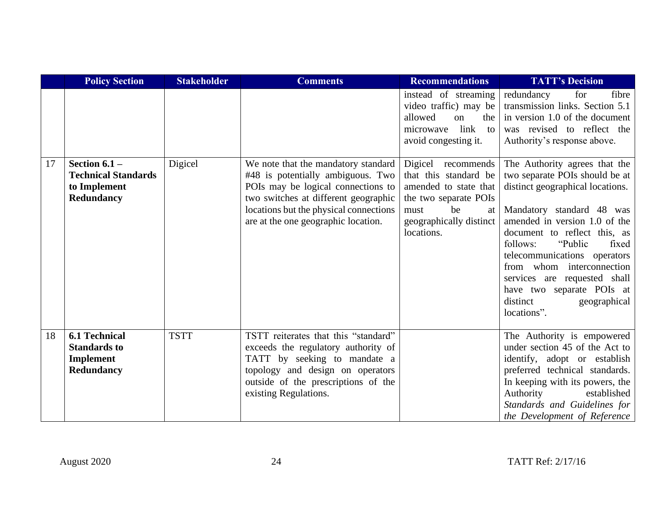|    | <b>Policy Section</b>                                                       | <b>Stakeholder</b> | <b>Comments</b>                                                                                                                                                                                                                         | <b>Recommendations</b>                                                                                                                                     | <b>TATT's Decision</b>                                                                                                                                                                                                                                                                                                                                                                                  |
|----|-----------------------------------------------------------------------------|--------------------|-----------------------------------------------------------------------------------------------------------------------------------------------------------------------------------------------------------------------------------------|------------------------------------------------------------------------------------------------------------------------------------------------------------|---------------------------------------------------------------------------------------------------------------------------------------------------------------------------------------------------------------------------------------------------------------------------------------------------------------------------------------------------------------------------------------------------------|
|    |                                                                             |                    |                                                                                                                                                                                                                                         | instead of streaming<br>video traffic) may be<br>allowed<br>on<br>the<br>link<br>microwave<br>to<br>avoid congesting it.                                   | for<br>redundancy<br>fibre<br>transmission links. Section 5.1<br>in version 1.0 of the document<br>was revised to reflect the<br>Authority's response above.                                                                                                                                                                                                                                            |
| 17 | Section $6.1 -$<br><b>Technical Standards</b><br>to Implement<br>Redundancy | Digicel            | We note that the mandatory standard<br>#48 is potentially ambiguous. Two<br>POIs may be logical connections to<br>two switches at different geographic<br>locations but the physical connections<br>are at the one geographic location. | Digicel recommends<br>that this standard be<br>amended to state that<br>the two separate POIs<br>must<br>be<br>at<br>geographically distinct<br>locations. | The Authority agrees that the<br>two separate POIs should be at<br>distinct geographical locations.<br>Mandatory standard 48 was<br>amended in version 1.0 of the<br>document to reflect this, as<br>"Public"<br>follows:<br>fixed<br>telecommunications operators<br>from whom interconnection<br>services are requested shall<br>have two separate POIs at<br>distinct<br>geographical<br>locations". |
| 18 | <b>6.1 Technical</b><br><b>Standards to</b><br>Implement<br>Redundancy      | <b>TSTT</b>        | TSTT reiterates that this "standard"<br>exceeds the regulatory authority of<br>TATT by seeking to mandate a<br>topology and design on operators<br>outside of the prescriptions of the<br>existing Regulations.                         |                                                                                                                                                            | The Authority is empowered<br>under section 45 of the Act to<br>identify, adopt or establish<br>preferred technical standards.<br>In keeping with its powers, the<br>Authority<br>established<br>Standards and Guidelines for<br>the Development of Reference                                                                                                                                           |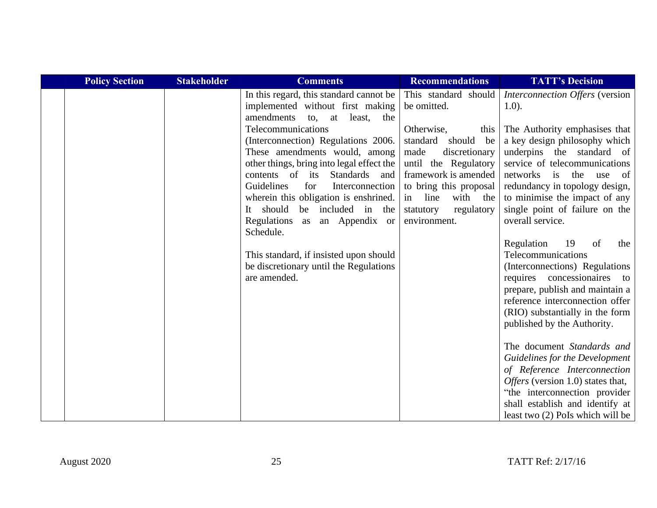| <b>Policy Section</b> | <b>Stakeholder</b> | <b>Comments</b>                                                                                                                                                                                                                                                                                                                               | <b>Recommendations</b>                                                                                                                                                                                             | <b>TATT's Decision</b>                                                                                                                                                                                                                                                                   |
|-----------------------|--------------------|-----------------------------------------------------------------------------------------------------------------------------------------------------------------------------------------------------------------------------------------------------------------------------------------------------------------------------------------------|--------------------------------------------------------------------------------------------------------------------------------------------------------------------------------------------------------------------|------------------------------------------------------------------------------------------------------------------------------------------------------------------------------------------------------------------------------------------------------------------------------------------|
|                       |                    | In this regard, this standard cannot be<br>implemented without first making<br>amendments to, at least, the                                                                                                                                                                                                                                   | This standard should<br>be omitted.                                                                                                                                                                                | Interconnection Offers (version<br>$1.0$ ).                                                                                                                                                                                                                                              |
|                       |                    | Telecommunications<br>(Interconnection) Regulations 2006.<br>These amendments would, among<br>other things, bring into legal effect the<br>contents of its<br>Standards<br>and<br>Guidelines<br>Interconnection<br>for<br>wherein this obligation is enshrined.<br>It should be included in the<br>Regulations as an Appendix or<br>Schedule. | Otherwise,<br>this  <br>standard<br>should be<br>made<br>discretionary<br>until the Regulatory<br>framework is amended<br>to bring this proposal<br>with the<br>in line<br>regulatory<br>statutory<br>environment. | The Authority emphasises that<br>a key design philosophy which<br>underpins the standard of<br>service of telecommunications<br>networks<br>is the<br>use<br>of<br>redundancy in topology design,<br>to minimise the impact of any<br>single point of failure on the<br>overall service. |
|                       |                    | This standard, if insisted upon should<br>be discretionary until the Regulations<br>are amended.                                                                                                                                                                                                                                              |                                                                                                                                                                                                                    | Regulation<br>19<br>of<br>the<br>Telecommunications<br>(Interconnections) Regulations<br>requires concessionaires<br>to<br>prepare, publish and maintain a<br>reference interconnection offer<br>(RIO) substantially in the form<br>published by the Authority.                          |
|                       |                    |                                                                                                                                                                                                                                                                                                                                               |                                                                                                                                                                                                                    | The document Standards and<br>Guidelines for the Development<br>of Reference Interconnection<br>Offers (version 1.0) states that,<br>"the interconnection provider<br>shall establish and identify at<br>least two (2) PoIs which will be                                                |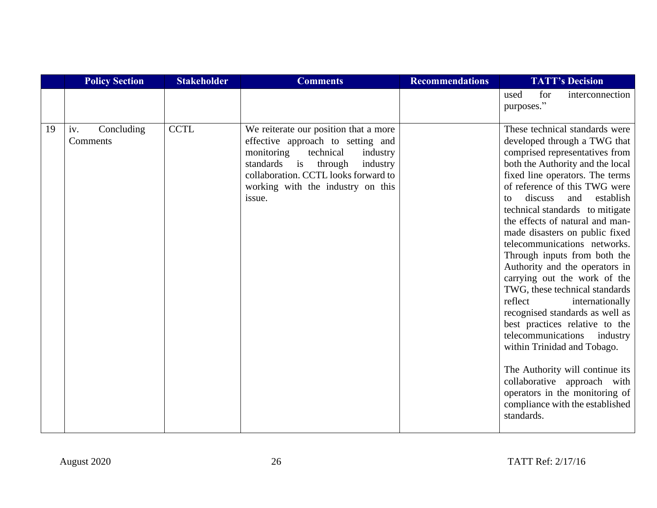|    | <b>Policy Section</b>         | <b>Stakeholder</b> | <b>Comments</b>                                                                                                                                                                                                                              | <b>Recommendations</b> | <b>TATT's Decision</b>                                                                                                                                                                                                                                                                                                                                                                                                                                                                                                                                                                                                                                                                                                                                                                                                                             |
|----|-------------------------------|--------------------|----------------------------------------------------------------------------------------------------------------------------------------------------------------------------------------------------------------------------------------------|------------------------|----------------------------------------------------------------------------------------------------------------------------------------------------------------------------------------------------------------------------------------------------------------------------------------------------------------------------------------------------------------------------------------------------------------------------------------------------------------------------------------------------------------------------------------------------------------------------------------------------------------------------------------------------------------------------------------------------------------------------------------------------------------------------------------------------------------------------------------------------|
|    |                               |                    |                                                                                                                                                                                                                                              |                        | for<br>used<br>interconnection<br>purposes."                                                                                                                                                                                                                                                                                                                                                                                                                                                                                                                                                                                                                                                                                                                                                                                                       |
| 19 | Concluding<br>iv.<br>Comments | <b>CCTL</b>        | We reiterate our position that a more<br>effective approach to setting and<br>monitoring<br>technical<br>industry<br>standards is through<br>industry<br>collaboration. CCTL looks forward to<br>working with the industry on this<br>issue. |                        | These technical standards were<br>developed through a TWG that<br>comprised representatives from<br>both the Authority and the local<br>fixed line operators. The terms<br>of reference of this TWG were<br>establish<br>discuss<br>and<br>to<br>technical standards to mitigate<br>the effects of natural and man-<br>made disasters on public fixed<br>telecommunications networks.<br>Through inputs from both the<br>Authority and the operators in<br>carrying out the work of the<br>TWG, these technical standards<br>reflect<br>internationally<br>recognised standards as well as<br>best practices relative to the<br>telecommunications<br>industry<br>within Trinidad and Tobago.<br>The Authority will continue its<br>collaborative approach with<br>operators in the monitoring of<br>compliance with the established<br>standards. |